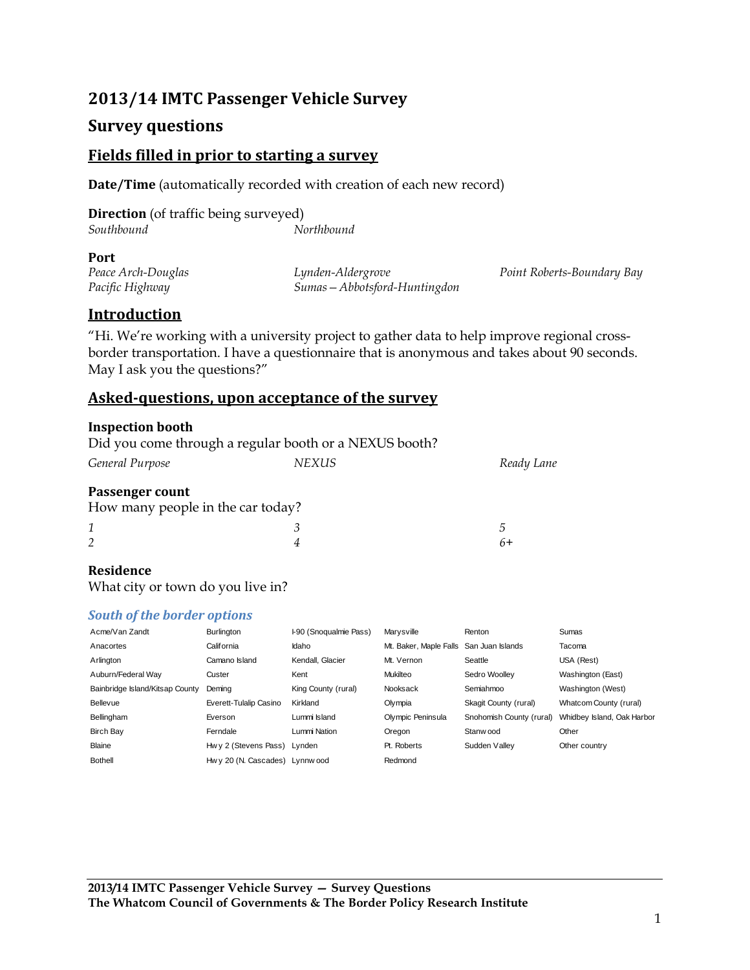# **2013/14 IMTC Passenger Vehicle Survey**

# **Survey questions**

### **Fields filled in prior to starting a survey**

**Date/Time** (automatically recorded with creation of each new record)

|            | <b>Direction</b> (of traffic being surveyed) |
|------------|----------------------------------------------|
| Southbound | Northbound                                   |

#### **Port**

*Peace Arch-Douglas Pacific Highway*

*Lynden-Aldergrove Sumas—Abbotsford-Huntingdon* *Point Roberts-Boundary Bay*

*5 6+*

# **Introduction**

"Hi. We're working with a university project to gather data to help improve regional crossborder transportation. I have a questionnaire that is anonymous and takes about 90 seconds. May I ask you the questions?"

### **Asked-questions, upon acceptance of the survey**

#### **Inspection booth**

Did you come through a regular booth or a NEXUS booth?

| General Purpose | NEXUS | Ready Lane |
|-----------------|-------|------------|
|                 |       |            |

*4*

#### **Passenger count**

| How many people in the car today? |  |
|-----------------------------------|--|
|                                   |  |

#### **Residence**

*2*

What city or town do you live in?

#### *South of the border options*

| Acme/Van Zandt                  | Burlington                      | I-90 (Snoqualmie Pass) | Marysville                              | Renton                   | Sumas                      |
|---------------------------------|---------------------------------|------------------------|-----------------------------------------|--------------------------|----------------------------|
| Anacortes                       | California                      | Idaho                  | Mt. Baker, Maple Falls San Juan Islands |                          | Tacoma                     |
| Arlington                       | Camano Island                   | Kendall, Glacier       | Mt. Vernon                              | Seattle                  | USA (Rest)                 |
| Auburn/Federal Wav              | Custer                          | Kent                   | Mukilteo                                | Sedro Woollev            | Washington (East)          |
| Bainbridge Island/Kitsap County | Demina                          | King County (rural)    | Nooksack                                | Semiahmoo                | Washington (West)          |
| Bellevue                        | Everett-Tulalip Casino          | Kirkland               | Olympia                                 | Skagit County (rural)    | Whatcom County (rural)     |
| Bellingham                      | Everson                         | Lummi Island           | Olympic Peninsula                       | Snohomish County (rural) | Whidbey Island, Oak Harbor |
| <b>Birch Bay</b>                | Ferndale                        | Lummi Nation           | Oregon                                  | Stanw ood                | Other                      |
| Blaine                          | Hwy 2 (Stevens Pass)            | Lynden                 | Pt. Roberts                             | Sudden Vallev            | Other country              |
| <b>Bothell</b>                  | Hw y 20 (N. Cascades) Lynnw ood |                        | Redmond                                 |                          |                            |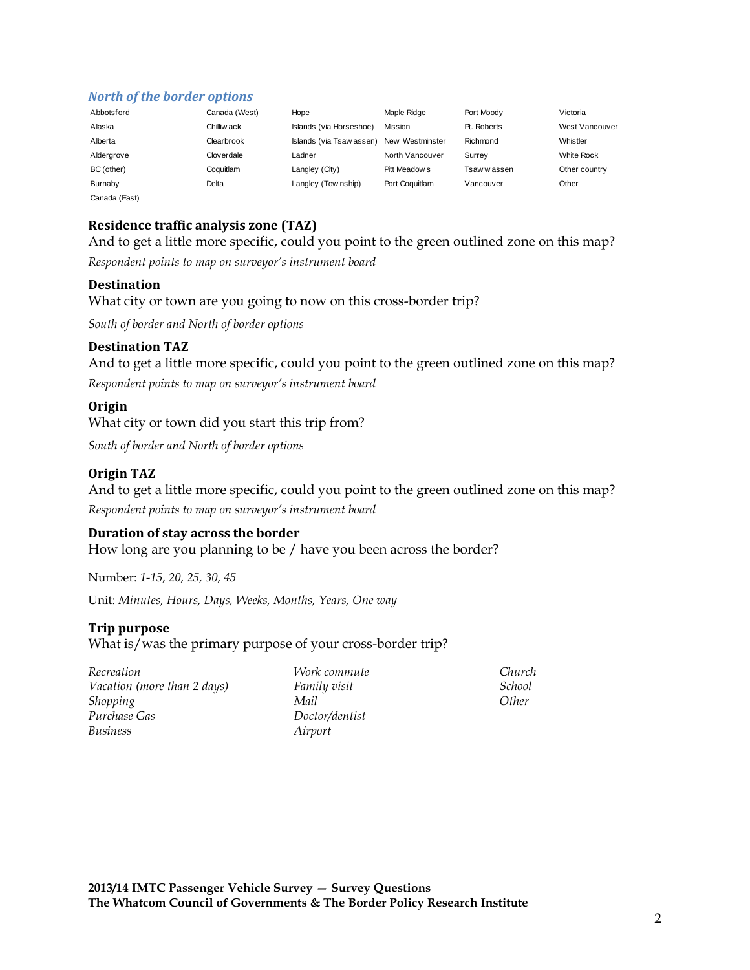### *North of the border options*

| Abbotsford    | Canada (West) | Hope                     | Maple Ridge     | Port Moody   | Victoria       |
|---------------|---------------|--------------------------|-----------------|--------------|----------------|
| Alaska        | Chilliw ack   | Islands (via Horseshoe)  | Mission         | Pt. Roberts  | West Vancouver |
| Alberta       | Clearbrook    | Islands (via Tsaw assen) | New Westminster | Richmond     | Whistler       |
| Aldergrove    | Cloverdale    | Ladner                   | North Vancouver | Surrev       | White Rock     |
| BC (other)    | Coquitlam     | Langley (City)           | Pitt Meadow s   | Tsaw w assen | Other country  |
| Burnaby       | Delta         | Langley (Township)       | Port Coguitlam  | Vancouver    | Other          |
| Canada (East) |               |                          |                 |              |                |

## **Residence traffic analysis zone (TAZ)**

And to get a little more specific, could you point to the green outlined zone on this map?

*Respondent points to map on surveyor's instrument board*

#### **Destination**

What city or town are you going to now on this cross-border trip?

*South of border and North of border options*

#### **Destination TAZ**

And to get a little more specific, could you point to the green outlined zone on this map?

*Respondent points to map on surveyor's instrument board*

#### **Origin**

What city or town did you start this trip from?

*South of border and North of border options*

#### **Origin TAZ**

And to get a little more specific, could you point to the green outlined zone on this map?

*Respondent points to map on surveyor's instrument board*

#### **Duration of stay across the border**

How long are you planning to be / have you been across the border?

Number: *1-15, 20, 25, 30, 45*

Unit: *Minutes, Hours, Days, Weeks, Months, Years, One way*

#### **Trip purpose**

What is/was the primary purpose of your cross-border trip?

| Recreation                  |
|-----------------------------|
| Vacation (more than 2 days) |
| Shopping                    |
| Purchase Gas                |
| Business                    |

*Work commute Family visit Mail Doctor/dentist Airport*

*Church School Other*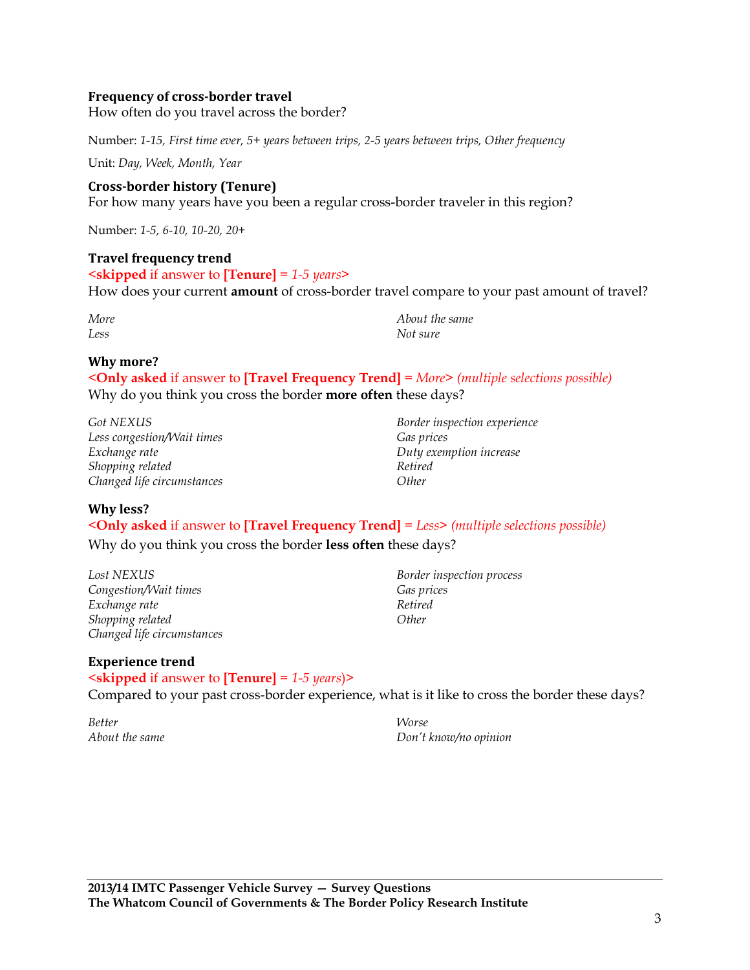#### **Frequency of cross-border travel**

How often do you travel across the border?

Number: *1-15, First time ever, 5+ years between trips, 2-5 years between trips, Other frequency*

Unit: *Day, Week, Month, Year*

**Cross-border history (Tenure)** For how many years have you been a regular cross-border traveler in this region?

Number: *1-5, 6-10, 10-20, 20+*

#### **Travel frequency trend**

<**skipped** if answer to **[Tenure]** = *1-5 years*> How does your current **amount** of cross-border travel compare to your past amount of travel?

*More Less*

*About the same Not sure*

### **Why more?**

<**Only asked** if answer to **[Travel Frequency Trend]** = *More*> *(multiple selections possible)*  Why do you think you cross the border **more often** these days?

*Got NEXUS Less congestion/Wait times Exchange rate Shopping related Changed life circumstances*

*Border inspection experience Gas prices Duty exemption increase Retired Other*

#### **Why less?**

<**Only asked** if answer to **[Travel Frequency Trend]** = *Less*> *(multiple selections possible)* 

Why do you think you cross the border **less often** these days?

*Lost NEXUS Congestion/Wait times Exchange rate Shopping related Changed life circumstances*

*Border inspection process Gas prices Retired Other*

#### **Experience trend**

<**skipped** if answer to **[Tenure]** = *1-5 years*)> Compared to your past cross-border experience, what is it like to cross the border these days?

*Better About the same* *Worse Don't know/no opinion*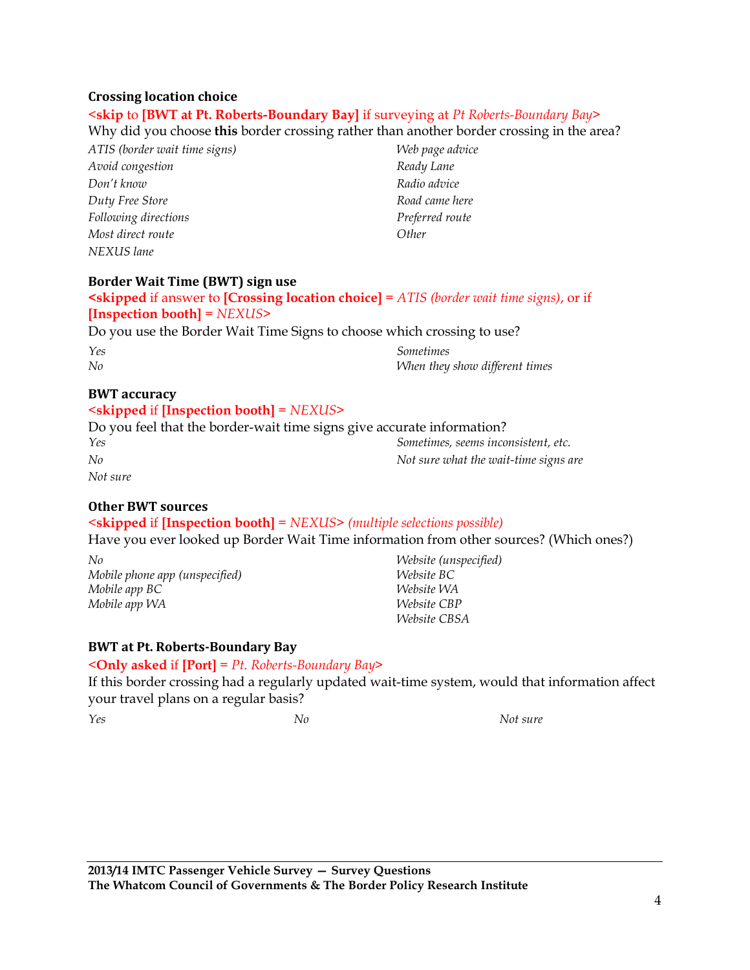#### **Crossing location choice**

#### <**skip** to **[BWT at Pt. Roberts-Boundary Bay]** if surveying at *Pt Roberts-Boundary Bay*>

Why did you choose **this** border crossing rather than another border crossing in the area?

*ATIS (border wait time signs) Avoid congestion Don't know Duty Free Store Following directions Most direct route NEXUS lane*

*Web page advice Ready Lane Radio advice Road came here Preferred route Other*

#### **Border Wait Time (BWT) sign use**

```
<skipped if answer to [Crossing location choice] = ATIS (border wait time signs), or if 
[Inspection booth] = NEXUS>
```
Do you use the Border Wait Time Signs to choose which crossing to use?

| Yes | Sometimes                      |
|-----|--------------------------------|
| No  | When they show different times |

#### **BWT accuracy**

# <**skipped** if **[Inspection booth]** = *NEXUS*>

| Do you feel that the border-wait time signs give accurate information? |                                       |
|------------------------------------------------------------------------|---------------------------------------|
| Yes                                                                    | Sometimes, seems inconsistent, etc.   |
| No                                                                     | Not sure what the wait-time signs are |
| Not sure                                                               |                                       |

### **Other BWT sources**

### <**skipped** if **[Inspection booth]** = *NEXUS*> *(multiple selections possible)*

Have you ever looked up Border Wait Time information from other sources? (Which ones?)

*No Mobile phone app (unspecified) Mobile app BC Mobile app WA*

*Website (unspecified) Website BC Website WA Website CBP Website CBSA*

#### **BWT at Pt. Roberts-Boundary Bay**

#### <**Only asked** if **[Port]** = *Pt. Roberts-Boundary Bay*>

If this border crossing had a regularly updated wait-time system, would that information affect your travel plans on a regular basis?

*Yes No Not sure*